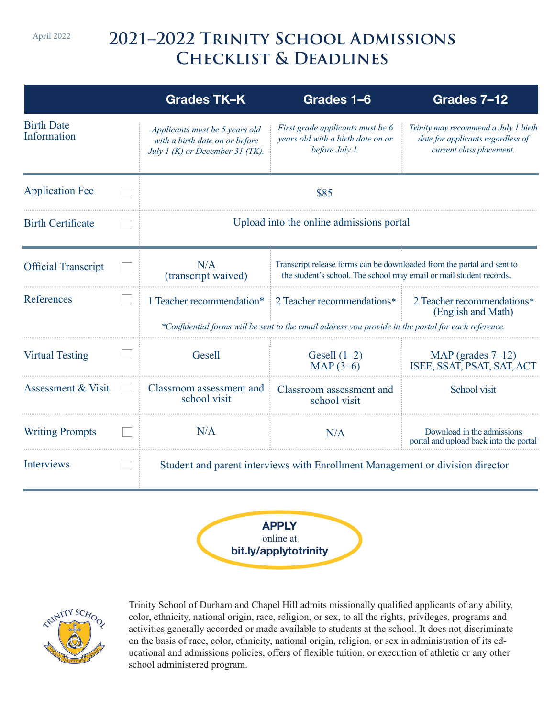April 2022

# **2021–2022 Trinity School Admissions Checklist & Deadlines**

|                                  | Grades TK-K                                                                                         | Grades 1-6                                                                                                                                    | Grades 7-12                                                                                           |
|----------------------------------|-----------------------------------------------------------------------------------------------------|-----------------------------------------------------------------------------------------------------------------------------------------------|-------------------------------------------------------------------------------------------------------|
| <b>Birth Date</b><br>Information | Applicants must be 5 years old<br>with a birth date on or before<br>July 1 (K) or December 31 (TK). | First grade applicants must be 6<br>years old with a birth date on or<br>before July 1.                                                       | Trinity may recommend a July 1 birth<br>date for applicants regardless of<br>current class placement. |
| <b>Application Fee</b>           | \$85                                                                                                |                                                                                                                                               |                                                                                                       |
| <b>Birth Certificate</b>         | Upload into the online admissions portal                                                            |                                                                                                                                               |                                                                                                       |
| <b>Official Transcript</b>       | N/A<br>(transcript waived)                                                                          | Transcript release forms can be downloaded from the portal and sent to<br>the student's school. The school may email or mail student records. |                                                                                                       |
| References                       | 1 Teacher recommendation*                                                                           | 2 Teacher recommendations*<br>*Confidential forms will be sent to the email address you provide in the portal for each reference.             | 2 Teacher recommendations*<br>(English and Math)                                                      |
|                                  |                                                                                                     |                                                                                                                                               |                                                                                                       |
| <b>Virtual Testing</b>           | Gesell                                                                                              | Gesell $(1-2)$<br>MAP $(3-6)$                                                                                                                 | MAP (grades $7-12$ )<br>ISEE, SSAT, PSAT, SAT, ACT                                                    |
| <b>Assessment &amp; Visit</b>    | Classroom assessment and<br>school visit                                                            | Classroom assessment and<br>school visit                                                                                                      | School visit                                                                                          |
| <b>Writing Prompts</b>           | N/A                                                                                                 | N/A                                                                                                                                           | Download in the admissions<br>portal and upload back into the portal                                  |
| <b>Interviews</b>                | Student and parent interviews with Enrollment Management or division director                       |                                                                                                                                               |                                                                                                       |





Trinity School of Durham and Chapel Hill admits missionally qualified applicants of any ability, color, ethnicity, national origin, race, religion, or sex, to all the rights, privileges, programs and activities generally accorded or made available to students at the school. It does not discriminate on the basis of race, color, ethnicity, national origin, religion, or sex in administration of its educational and admissions policies, offers of flexible tuition, or execution of athletic or any other school administered program.